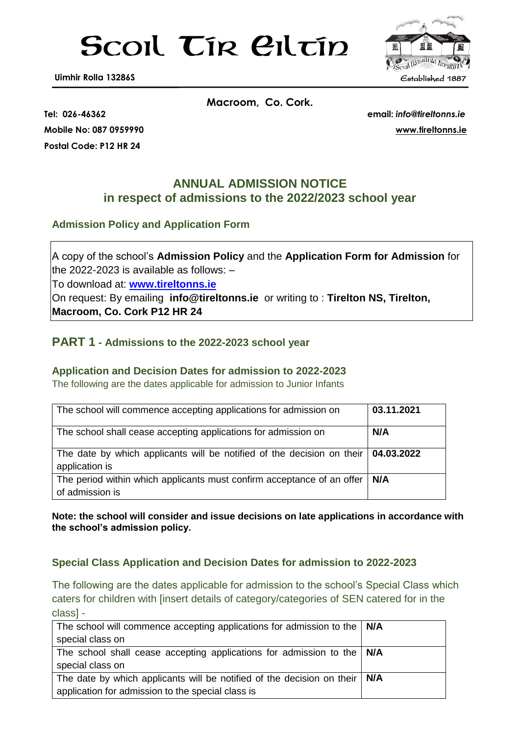# Scoil Tír Ciltín



**Postal Code: P12 HR 24**

**Macroom, Co. Cork.**

**Tel: 026-46362 email:** *info@tireltonns.ie* **Mobile No: 087 0959990 [www.tireltonns.ie](http://www.tireltonns.ie/)**

# **ANNUAL ADMISSION NOTICE in respect of admissions to the 2022/2023 school year**

### **Admission Policy and Application Form**

A copy of the school's **Admission Policy** and the **Application Form for Admission** for the 2022-2023 is available as follows: –

To download at: **www.tireltonns.ie**

On request: By emailing **info@tireltonns.ie** or writing to : **Tirelton NS, Tirelton, Macroom, Co. Cork P12 HR 24**

# **PART 1 - Admissions to the 2022-2023 school year**

#### **Application and Decision Dates for admission to 2022-2023**

The following are the dates applicable for admission to Junior Infants

| The school will commence accepting applications for admission on                                      | 03.11.2021 |
|-------------------------------------------------------------------------------------------------------|------------|
| The school shall cease accepting applications for admission on                                        | N/A        |
| The date by which applicants will be notified of the decision on their   04.03.2022<br>application is |            |
| The period within which applicants must confirm acceptance of an offer<br>of admission is             | N/A        |

**Note: the school will consider and issue decisions on late applications in accordance with the school's admission policy.**

#### **Special Class Application and Decision Dates for admission to 2022-2023**

The following are the dates applicable for admission to the school's Special Class which caters for children with [insert details of category/categories of SEN catered for in the class] -

| The school will commence accepting applications for admission to the $\mid$ N/A    |  |
|------------------------------------------------------------------------------------|--|
| special class on                                                                   |  |
| The school shall cease accepting applications for admission to the $\mid N/A$      |  |
| special class on                                                                   |  |
| The date by which applicants will be notified of the decision on their $\vert$ N/A |  |
| application for admission to the special class is                                  |  |